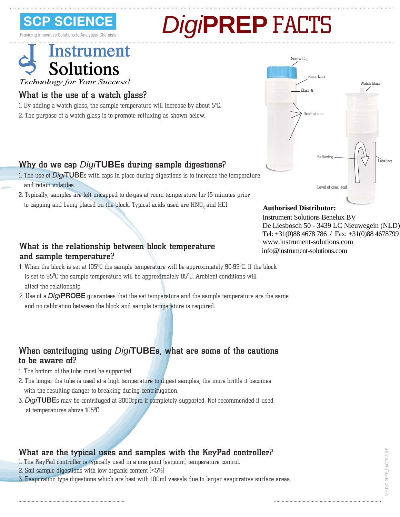**SCIEN** 

Providing Innovative

# **PREP** FACTS

# **Instrument Solutions** Technology for Your Success!

### What is the use of a watch glass?

- 1. By adding a watch glass, the sample temperature will increase by about 5°C.
- 2. The purpose of a watch glass is to promote refluxing as shown below.

## Why do we cap *Digi***TUBE**s during sample digestions?

- 1. The use of *Digi***TUBE**s with caps in place during digestions is to increase the temperature and retain volatiles.
- 2. Typically, samples are left uncapped to de-gas at room temperature for 15 minutes prior to capping and being placed on the block. Typical acids used are  $\rm{HNO}_{3}$  and  $\rm{HCL}$

#### What is the relationship between block temperature and sample temperature?

- 1. When the block is set at 105 $^{\rm o}$ C the sample temperature will be approximately 90-95 $^{\rm o}$ C. If the block is set to  $95^{\circ}$ C the sample temperature will be approximately  $85^{\circ}$ C. Ambient conditions will affect the relationship.
- 2. Use of a *Digi***PROBE** guarantees that the set temperature and the sample temperature are the same and no calibration between the block and sample temperature is required.

#### When centrifuging using *Digi***TUBE**s, what are some of the cautions to be aware of?

- 1. The bottom of the tube must be supported.
- 2. The longer the tube is used at a high temperature to digest samples, the more brittle it becomes with the resulting danger to breaking during centrifugation.
- 3. *Digi***TUBE**s may be centrifuged at 2000rpm if completely supported. Not recommended if used at temperatures above 105 $^{\rm 0}$ C.

### What are the typical uses and samples with the KeyPad controller?

- 1. The KeyPad controller is typically used in a one point (setpoint) temperature control.
- 2. Soil sample digestions with low organic content (<5%)
- 3. Evaporation type digestions which are best with 100ml vessels due to larger evaporative surface areas.



#### **Authorised Distributor:**

info@instrument-solutions.com Instrument Solutions Benelux BV De Liesbosch 50 - 3439 LC Nieuwegein (NLD) Tel: +31(0)88 4678 786 / Fax: +31(0)88 4678799 www.instrument-solutions.com